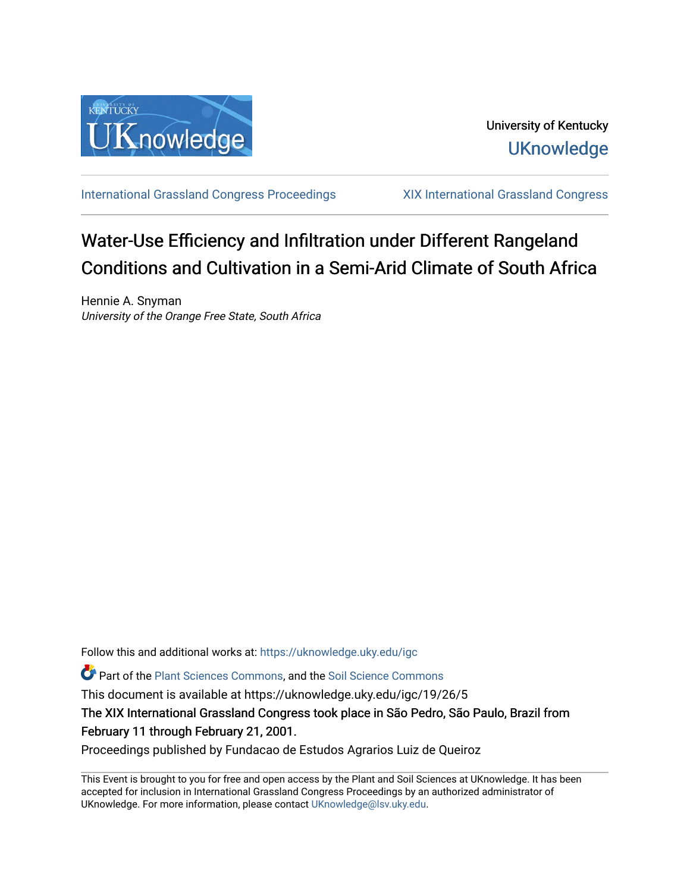

University of Kentucky **UKnowledge** 

[International Grassland Congress Proceedings](https://uknowledge.uky.edu/igc) [XIX International Grassland Congress](https://uknowledge.uky.edu/igc/19) 

## Water-Use Efficiency and Infiltration under Different Rangeland Conditions and Cultivation in a Semi-Arid Climate of South Africa

Hennie A. Snyman University of the Orange Free State, South Africa

Follow this and additional works at: [https://uknowledge.uky.edu/igc](https://uknowledge.uky.edu/igc?utm_source=uknowledge.uky.edu%2Figc%2F19%2F26%2F5&utm_medium=PDF&utm_campaign=PDFCoverPages) 

Part of the [Plant Sciences Commons](http://network.bepress.com/hgg/discipline/102?utm_source=uknowledge.uky.edu%2Figc%2F19%2F26%2F5&utm_medium=PDF&utm_campaign=PDFCoverPages), and the [Soil Science Commons](http://network.bepress.com/hgg/discipline/163?utm_source=uknowledge.uky.edu%2Figc%2F19%2F26%2F5&utm_medium=PDF&utm_campaign=PDFCoverPages) 

This document is available at https://uknowledge.uky.edu/igc/19/26/5

The XIX International Grassland Congress took place in São Pedro, São Paulo, Brazil from February 11 through February 21, 2001.

Proceedings published by Fundacao de Estudos Agrarios Luiz de Queiroz

This Event is brought to you for free and open access by the Plant and Soil Sciences at UKnowledge. It has been accepted for inclusion in International Grassland Congress Proceedings by an authorized administrator of UKnowledge. For more information, please contact [UKnowledge@lsv.uky.edu](mailto:UKnowledge@lsv.uky.edu).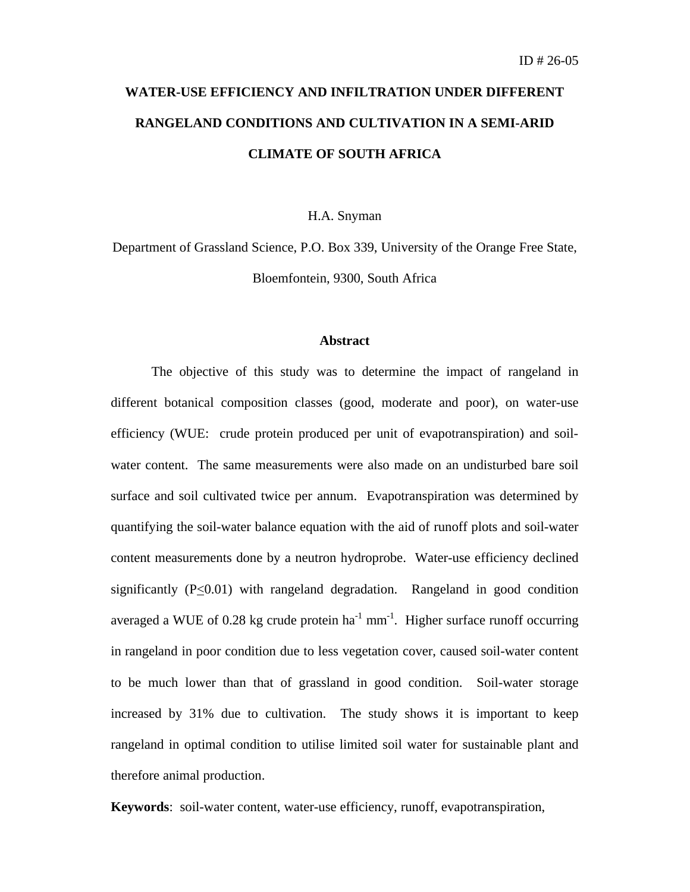# **WATER-USE EFFICIENCY AND INFILTRATION UNDER DIFFERENT RANGELAND CONDITIONS AND CULTIVATION IN A SEMI-ARID CLIMATE OF SOUTH AFRICA**

#### H.A. Snyman

Department of Grassland Science, P.O. Box 339, University of the Orange Free State, Bloemfontein, 9300, South Africa

### **Abstract**

The objective of this study was to determine the impact of rangeland in different botanical composition classes (good, moderate and poor), on water-use efficiency (WUE: crude protein produced per unit of evapotranspiration) and soilwater content. The same measurements were also made on an undisturbed bare soil surface and soil cultivated twice per annum. Evapotranspiration was determined by quantifying the soil-water balance equation with the aid of runoff plots and soil-water content measurements done by a neutron hydroprobe. Water-use efficiency declined significantly  $(P<0.01)$  with rangeland degradation. Rangeland in good condition averaged a WUE of 0.28 kg crude protein ha<sup>-1</sup> mm<sup>-1</sup>. Higher surface runoff occurring in rangeland in poor condition due to less vegetation cover, caused soil-water content to be much lower than that of grassland in good condition. Soil-water storage increased by 31% due to cultivation. The study shows it is important to keep rangeland in optimal condition to utilise limited soil water for sustainable plant and therefore animal production.

**Keywords**: soil-water content, water-use efficiency, runoff, evapotranspiration,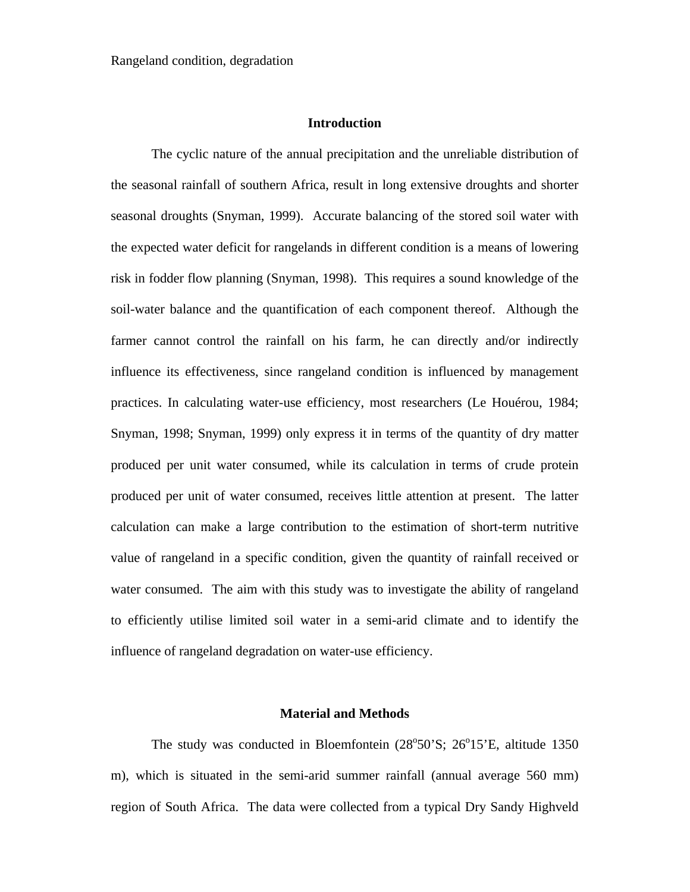#### **Introduction**

The cyclic nature of the annual precipitation and the unreliable distribution of the seasonal rainfall of southern Africa, result in long extensive droughts and shorter seasonal droughts (Snyman, 1999). Accurate balancing of the stored soil water with the expected water deficit for rangelands in different condition is a means of lowering risk in fodder flow planning (Snyman, 1998). This requires a sound knowledge of the soil-water balance and the quantification of each component thereof. Although the farmer cannot control the rainfall on his farm, he can directly and/or indirectly influence its effectiveness, since rangeland condition is influenced by management practices. In calculating water-use efficiency, most researchers (Le Houérou, 1984; Snyman, 1998; Snyman, 1999) only express it in terms of the quantity of dry matter produced per unit water consumed, while its calculation in terms of crude protein produced per unit of water consumed, receives little attention at present. The latter calculation can make a large contribution to the estimation of short-term nutritive value of rangeland in a specific condition, given the quantity of rainfall received or water consumed. The aim with this study was to investigate the ability of rangeland to efficiently utilise limited soil water in a semi-arid climate and to identify the influence of rangeland degradation on water-use efficiency.

#### **Material and Methods**

The study was conducted in Bloemfontein (28°50'S; 26°15'E, altitude 1350 m), which is situated in the semi-arid summer rainfall (annual average 560 mm) region of South Africa. The data were collected from a typical Dry Sandy Highveld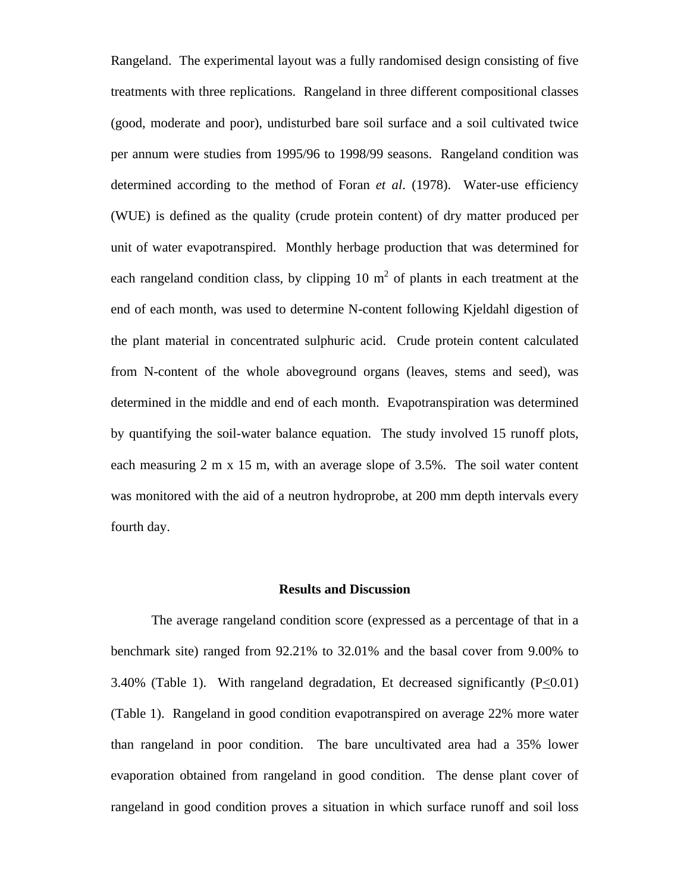Rangeland. The experimental layout was a fully randomised design consisting of five treatments with three replications. Rangeland in three different compositional classes (good, moderate and poor), undisturbed bare soil surface and a soil cultivated twice per annum were studies from 1995/96 to 1998/99 seasons. Rangeland condition was determined according to the method of Foran *et al*. (1978). Water-use efficiency (WUE) is defined as the quality (crude protein content) of dry matter produced per unit of water evapotranspired. Monthly herbage production that was determined for each rangeland condition class, by clipping 10  $m<sup>2</sup>$  of plants in each treatment at the end of each month, was used to determine N-content following Kjeldahl digestion of the plant material in concentrated sulphuric acid. Crude protein content calculated from N-content of the whole aboveground organs (leaves, stems and seed), was determined in the middle and end of each month. Evapotranspiration was determined by quantifying the soil-water balance equation. The study involved 15 runoff plots, each measuring 2 m x 15 m, with an average slope of 3.5%. The soil water content was monitored with the aid of a neutron hydroprobe, at 200 mm depth intervals every fourth day.

#### **Results and Discussion**

The average rangeland condition score (expressed as a percentage of that in a benchmark site) ranged from 92.21% to 32.01% and the basal cover from 9.00% to 3.40% (Table 1). With rangeland degradation, Et decreased significantly  $(P \le 0.01)$ (Table 1). Rangeland in good condition evapotranspired on average 22% more water than rangeland in poor condition. The bare uncultivated area had a 35% lower evaporation obtained from rangeland in good condition. The dense plant cover of rangeland in good condition proves a situation in which surface runoff and soil loss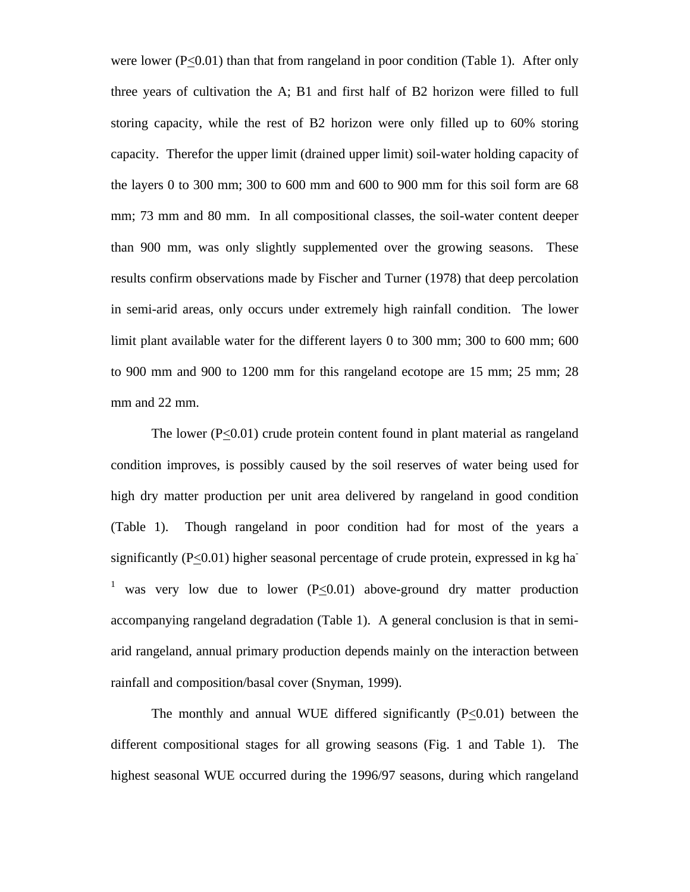were lower ( $P \le 0.01$ ) than that from rangeland in poor condition (Table 1). After only three years of cultivation the A; B1 and first half of B2 horizon were filled to full storing capacity, while the rest of B2 horizon were only filled up to 60% storing capacity. Therefor the upper limit (drained upper limit) soil-water holding capacity of the layers 0 to 300 mm; 300 to 600 mm and 600 to 900 mm for this soil form are 68 mm; 73 mm and 80 mm. In all compositional classes, the soil-water content deeper than 900 mm, was only slightly supplemented over the growing seasons. These results confirm observations made by Fischer and Turner (1978) that deep percolation in semi-arid areas, only occurs under extremely high rainfall condition. The lower limit plant available water for the different layers 0 to 300 mm; 300 to 600 mm; 600 to 900 mm and 900 to 1200 mm for this rangeland ecotope are 15 mm; 25 mm; 28 mm and 22 mm.

The lower  $(P<0.01)$  crude protein content found in plant material as rangeland condition improves, is possibly caused by the soil reserves of water being used for high dry matter production per unit area delivered by rangeland in good condition (Table 1). Though rangeland in poor condition had for most of the years a significantly  $(P<0.01)$  higher seasonal percentage of crude protein, expressed in kg ha <sup>1</sup> was very low due to lower ( $P \le 0.01$ ) above-ground dry matter production accompanying rangeland degradation (Table 1). A general conclusion is that in semiarid rangeland, annual primary production depends mainly on the interaction between rainfall and composition/basal cover (Snyman, 1999).

The monthly and annual WUE differed significantly  $(P<0.01)$  between the different compositional stages for all growing seasons (Fig. 1 and Table 1). The highest seasonal WUE occurred during the 1996/97 seasons, during which rangeland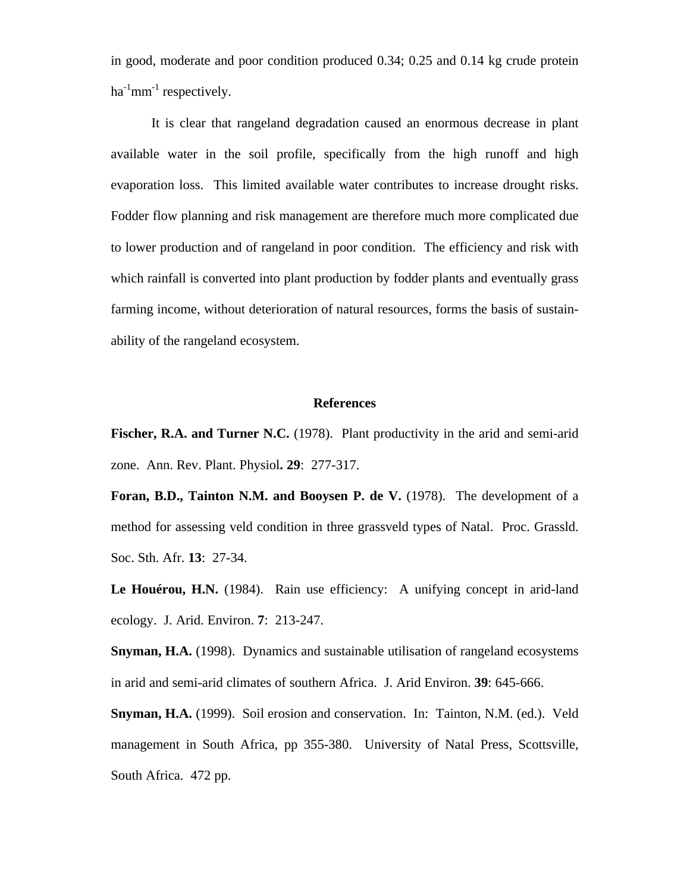in good, moderate and poor condition produced 0.34; 0.25 and 0.14 kg crude protein  $ha^{-1}mm^{-1}$  respectively.

It is clear that rangeland degradation caused an enormous decrease in plant available water in the soil profile, specifically from the high runoff and high evaporation loss. This limited available water contributes to increase drought risks. Fodder flow planning and risk management are therefore much more complicated due to lower production and of rangeland in poor condition. The efficiency and risk with which rainfall is converted into plant production by fodder plants and eventually grass farming income, without deterioration of natural resources, forms the basis of sustainability of the rangeland ecosystem.

#### **References**

**Fischer, R.A. and Turner N.C.** (1978). Plant productivity in the arid and semi-arid zone. Ann. Rev. Plant. Physiol**. 29**: 277-317.

**Foran, B.D., Tainton N.M. and Booysen P. de V.** (1978). The development of a method for assessing veld condition in three grassveld types of Natal. Proc. Grassld. Soc. Sth. Afr. **13**: 27-34.

Le Houérou, H.N. (1984). Rain use efficiency: A unifying concept in arid-land ecology. J. Arid. Environ. **7**: 213-247.

**Snyman, H.A.** (1998). Dynamics and sustainable utilisation of rangeland ecosystems in arid and semi-arid climates of southern Africa. J. Arid Environ. **39**: 645-666.

**Snyman, H.A.** (1999). Soil erosion and conservation. In: Tainton, N.M. (ed.). Veld management in South Africa, pp 355-380. University of Natal Press, Scottsville, South Africa. 472 pp.